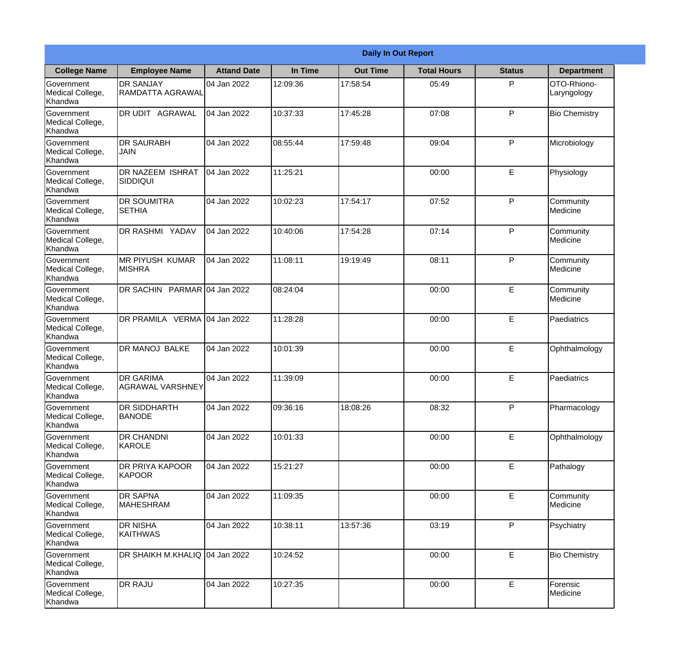|                                           | <b>Daily In Out Report</b>                  |                    |          |                 |                    |               |                            |  |  |
|-------------------------------------------|---------------------------------------------|--------------------|----------|-----------------|--------------------|---------------|----------------------------|--|--|
| <b>College Name</b>                       | <b>Employee Name</b>                        | <b>Attand Date</b> | In Time  | <b>Out Time</b> | <b>Total Hours</b> | <b>Status</b> | <b>Department</b>          |  |  |
| Government<br>Medical College,<br>Khandwa | <b>DR SANJAY</b><br>RAMDATTA AGRAWAL        | 04 Jan 2022        | 12:09:36 | 17:58:54        | 05:49              | P             | OTO-Rhiono-<br>Laryngology |  |  |
| Government<br>Medical College,<br>Khandwa | DR UDIT AGRAWAL                             | 04 Jan 2022        | 10:37:33 | 17:45:28        | 07:08              | P             | <b>Bio Chemistry</b>       |  |  |
| Government<br>Medical College,<br>Khandwa | <b>DR SAURABH</b><br><b>JAIN</b>            | 04 Jan 2022        | 08:55:44 | 17:59:48        | 09:04              | P             | Microbiology               |  |  |
| Government<br>Medical College,<br>Khandwa | <b>DR NAZEEM ISHRAT</b><br><b>SIDDIQUI</b>  | 04 Jan 2022        | 11:25:21 |                 | 00:00              | E             | Physiology                 |  |  |
| Government<br>Medical College,<br>Khandwa | <b>DR SOUMITRA</b><br><b>SETHIA</b>         | 04 Jan 2022        | 10:02:23 | 17:54:17        | 07:52              | P             | Community<br>Medicine      |  |  |
| Government<br>Medical College,<br>Khandwa | DR RASHMI YADAV                             | 04 Jan 2022        | 10:40:06 | 17:54:28        | 07:14              | P             | Community<br>Medicine      |  |  |
| Government<br>Medical College,<br>Khandwa | IMR PIYUSH KUMAR<br><b>MISHRA</b>           | 04 Jan 2022        | 11:08:11 | 19:19:49        | 08:11              | P             | Community<br>Medicine      |  |  |
| Government<br>Medical College,<br>Khandwa | DR SACHIN PARMAR 04 Jan 2022                |                    | 08:24:04 |                 | 00:00              | E             | Community<br>Medicine      |  |  |
| Government<br>Medical College,<br>Khandwa | DR PRAMILA VERMA 04 Jan 2022                |                    | 11:28:28 |                 | 00:00              | E             | Paediatrics                |  |  |
| Government<br>Medical College,<br>Khandwa | DR MANOJ BALKE                              | 04 Jan 2022        | 10:01:39 |                 | 00:00              | E             | Ophthalmology              |  |  |
| Government<br>Medical College,<br>Khandwa | <b>DR GARIMA</b><br><b>AGRAWAL VARSHNEY</b> | 04 Jan 2022        | 11:39:09 |                 | 00:00              | E             | Paediatrics                |  |  |
| Government<br>Medical College,<br>Khandwa | <b>DR SIDDHARTH</b><br><b>BANODE</b>        | 04 Jan 2022        | 09:36:16 | 18:08:26        | 08:32              | P             | Pharmacology               |  |  |
| Government<br>Medical College,<br>Khandwa | DR CHANDNI<br>KAROLE                        | 04 Jan 2022        | 10:01:33 |                 | 00:00              | E             | Ophthalmology              |  |  |
| Government<br>Medical College,<br>Khandwa | DR PRIYA KAPOOR<br><b>KAPOOR</b>            | 04 Jan 2022        | 15:21:27 |                 | 00:00              | E             | Pathalogy                  |  |  |
| Government<br>Medical College,<br>Khandwa | <b>DR SAPNA</b><br><b>MAHESHRAM</b>         | 04 Jan 2022        | 11:09:35 |                 | 00:00              | E             | Community<br>Medicine      |  |  |
| Government<br>Medical College,<br>Khandwa | <b>DR NISHA</b><br><b>KAITHWAS</b>          | 04 Jan 2022        | 10:38:11 | 13:57:36        | 03:19              | P             | Psychiatry                 |  |  |
| Government<br>Medical College,<br>Khandwa | DR SHAIKH M.KHALIQ                          | 04 Jan 2022        | 10:24:52 |                 | 00:00              | E             | <b>Bio Chemistry</b>       |  |  |
| Government<br>Medical College,<br>Khandwa | DR RAJU                                     | 04 Jan 2022        | 10:27:35 |                 | 00:00              | E             | Forensic<br>Medicine       |  |  |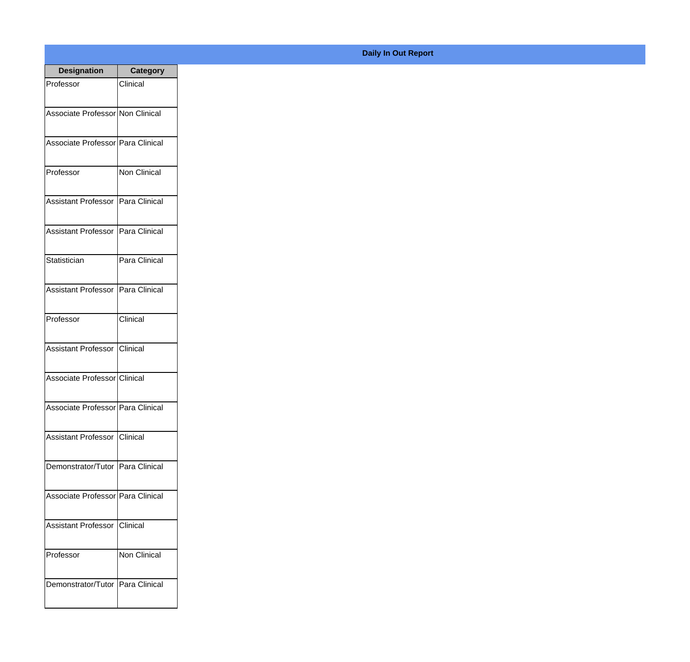| <b>Designation</b>                | Category        |
|-----------------------------------|-----------------|
| Professor                         | Clinical        |
| Associate Professor Non Clinical  |                 |
|                                   |                 |
| Associate Professor Para Clinical |                 |
|                                   |                 |
| Professor                         | Non Clinical    |
| Assistant Professor Para Clinical |                 |
|                                   |                 |
| Assistant Professor Para Clinical |                 |
| Statistician                      | Para Clinical   |
|                                   |                 |
| Assistant Professor Para Clinical |                 |
| Professor                         | <b>Clinical</b> |
|                                   |                 |
| Assistant Professor Clinical      |                 |
|                                   |                 |
| Associate Professor Clinical      |                 |
| Associate Professor Para Clinical |                 |
|                                   |                 |
| Assistant Professor Clinical      |                 |
| Demonstrator/Tutor Para Clinical  |                 |
|                                   |                 |
| Associate Professor Para Clinical |                 |
| Assistant Professor Clinical      |                 |
|                                   |                 |
| Professor                         | Non Clinical    |
|                                   |                 |
| Demonstrator/Tutor Para Clinical  |                 |
|                                   |                 |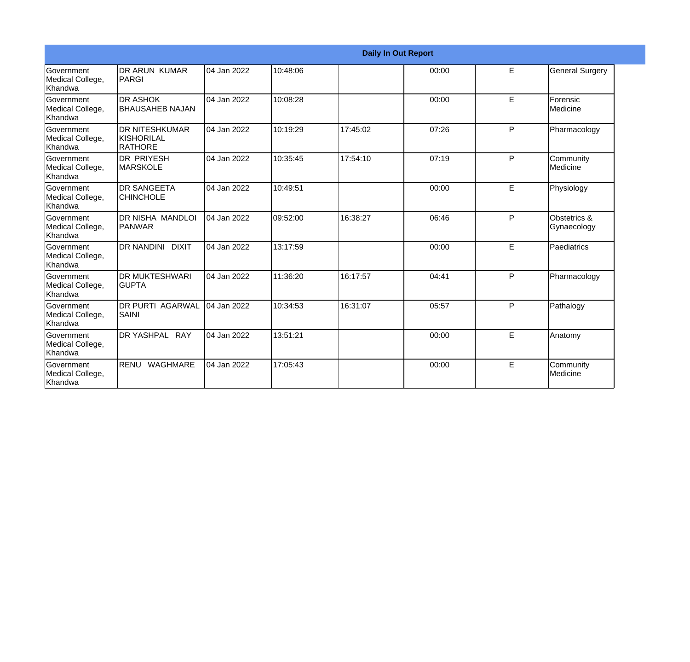|                                                  |                                                       |             |          |          | <b>Daily In Out Report</b> |   |                             |
|--------------------------------------------------|-------------------------------------------------------|-------------|----------|----------|----------------------------|---|-----------------------------|
| Government<br>Medical College,<br>Khandwa        | <b>DR ARUN KUMAR</b><br>PARGI                         | 04 Jan 2022 | 10:48:06 |          | 00:00                      | E | <b>General Surgery</b>      |
| Government<br>Medical College,<br>Khandwa        | <b>DR ASHOK</b><br><b>BHAUSAHEB NAJAN</b>             | 04 Jan 2022 | 10:08:28 |          | 00:00                      | E | Forensic<br>Medicine        |
| Government<br>Medical College,<br>Khandwa        | <b>DR NITESHKUMAR</b><br><b>KISHORILAL</b><br>RATHORE | 04 Jan 2022 | 10:19:29 | 17:45:02 | 07:26                      | P | Pharmacology                |
| <b>Government</b><br>Medical College,<br>Khandwa | <b>DR PRIYESH</b><br><b>MARSKOLE</b>                  | 04 Jan 2022 | 10:35:45 | 17:54:10 | 07:19                      | P | Community<br>Medicine       |
| Government<br>Medical College,<br>Khandwa        | <b>DR SANGEETA</b><br><b>CHINCHOLE</b>                | 04 Jan 2022 | 10:49:51 |          | 00:00                      | E | Physiology                  |
| Government<br>Medical College,<br>Khandwa        | DR NISHA MANDLOI<br>PANWAR                            | 04 Jan 2022 | 09:52:00 | 16:38:27 | 06:46                      | P | Obstetrics &<br>Gynaecology |
| Government<br>Medical College,<br>Khandwa        | <b>DR NANDINI DIXIT</b>                               | 04 Jan 2022 | 13:17:59 |          | 00:00                      | E | Paediatrics                 |
| Government<br>Medical College,<br>Khandwa        | <b>DR MUKTESHWARI</b><br><b>GUPTA</b>                 | 04 Jan 2022 | 11:36:20 | 16:17:57 | 04:41                      | P | Pharmacology                |
| Government<br>Medical College,<br>Khandwa        | <b>DR PURTI AGARWAL</b><br><b>SAINI</b>               | 04 Jan 2022 | 10:34:53 | 16:31:07 | 05:57                      | P | Pathalogy                   |
| Government<br>Medical College,<br>Khandwa        | DR YASHPAL RAY                                        | 04 Jan 2022 | 13:51:21 |          | 00:00                      | E | Anatomy                     |
| Government<br>Medical College,<br>Khandwa        | RENU WAGHMARE                                         | 04 Jan 2022 | 17:05:43 |          | 00:00                      | E | Community<br>Medicine       |